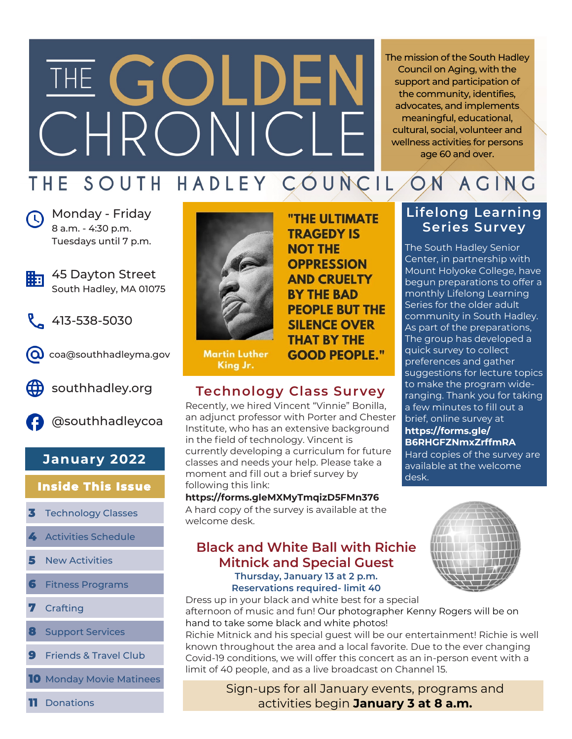# THE GOLDEN RONIC

The mission of the South Hadley Council on Aging, with the support and participation of the community, identifies, advocates, and implements meaningful, educational, cultural, social, volunteer and wellness activities for persons age 60 and over.

# THE SOUTH HADLEY COUNCIL

**Nonday - Friday** 8 a.m. - 4:30 p.m. Tuesdays until 7 p.m.



- 45 Dayton Street South Hadley, MA 01075
- 413-538-5030



coa@southhadleyma.gov



southhadley.org



@southhadleycoa

# **January 2022**

# **Inside This Issue**

- **3** Technology Classes
- **4** Activities Schedule
- **5** New Activities
- **6** Fitness Programs
- **7** Crafting
- **8** Support Services
- **9** Friends & Travel Club
- **10** Monday Movie Matinees



**Martin Luther** King Jr.

# **Technology Class Survey**

Recently, we hired Vincent "Vinnie" Bonilla, an adjunct professor with Porter and Chester Institute, who has an extensive background in the field of technology. Vincent is currently developing a curriculum for future classes and needs your help. Please take a moment and fill out a brief survey by following this link:

# **https://forms.gleMXMyTmqizD5FMn376**

A hard copy of the survey is available at the welcome desk.

# **Black and White Ball with Richie Mitnick and Special Guest Thursday, January 13 at 2 p.m.**

**Reservations required- limit 40** Dress up in your black and white best for a special

afternoon of music and fun! Our photographer Kenny Rogers will be on hand to take some black and white photos!

Richie Mitnick and his special guest will be our entertainment! Richie is well known throughout the area and a local favorite. Due to the ever changing Covid-19 conditions, we will offer this concert as an in-person event with a limit of 40 people, and as a live broadcast on Channel 15.

> Sign-ups for all January events, programs and activities begin **January 3 at 8 a.m.**

"THE ULTIMATE **TRAGEDY IS NOT THE OPPRESSION AND CRUELTY BY THE BAD PEOPLE BUT THE SILENCE OVER THAT BY THE GOOD PEOPLE."** 

# **Lifelong Learning Series Survey**

ACING

The South Hadley Senior Center, in partnership with Mount Holyoke College, have begun preparations to offer a monthly Lifelong Learning Series for the older adult community in South Hadley. As part of the preparations, The group has developed a quick survey to collect preferences and gather suggestions for lecture topics to make the program wideranging. Thank you for taking a few minutes to fill out a brief, online survey at **https://forms.gle/ B6RHGFZNmxZrffmRA**

Hard copies of the survey are available at the welcome desk.

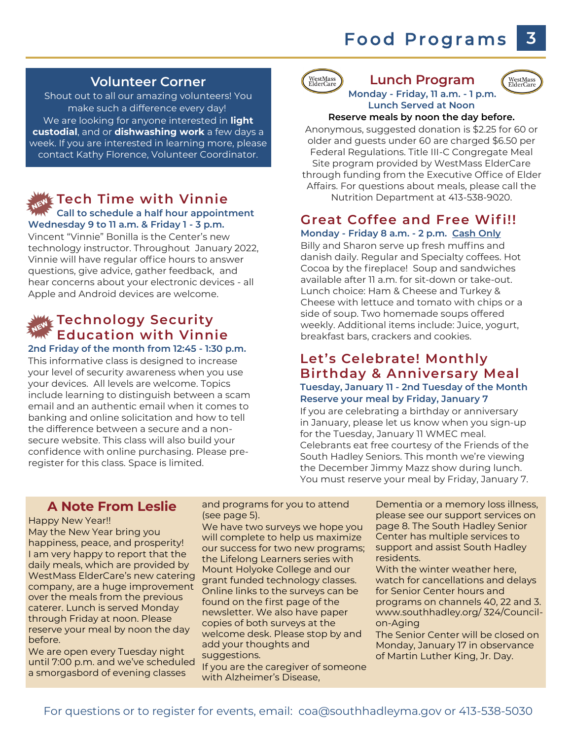# **Food Programs**

#### **Volunteer Corner**

Shout out to all our amazing volunteers! You make such a difference every day! We are looking for anyone interested in **light custodial**, and or **dishwashing work** a few days a week. If you are interested in learning more, please contact Kathy Florence, Volunteer Coordinator.

#### **Tech Time with Vinnie Call to schedule a half hour appointment Wednesday 9 to 11 a.m. & Friday 1 - 3 p.m.**

Vincent "Vinnie" Bonilla is the Center's new technology instructor. Throughout January 2022, Vinnie will have regular office hours to answer questions, give advice, gather feedback, and hear concerns about your electronic devices - all Apple and Android devices are welcome.

# **Technology Security Education with Vinnie**

#### **2nd Friday of the month from 12:45 - 1:30 p.m.**

This informative class is designed to increase your level of security awareness when you use your devices. All levels are welcome. Topics include learning to distinguish between a scam email and an authentic email when it comes to banking and online solicitation and how to tell the difference between a secure and a nonsecure website. This class will also build your confidence with online purchasing. Please preregister for this class. Space is limited.



#### WestMass<br>ElderCare **Lunch Program Monday - Friday, 11 a.m. - 1 p.m. Lunch Served at Noon**

#### **Reserve meals by noon the day before.**

Anonymous, suggested donation is \$2.25 for 60 or older and guests under 60 are charged \$6.50 per Federal Regulations. Title III-C Congregate Meal Site program provided by WestMass ElderCare through funding from the Executive Office of Elder Affairs. For questions about meals, please call the Nutrition Department at 413-538-9020.

#### **Great Coffee and Free Wif i!! Monday - Friday 8 a.m. - 2 p.m. Cash Only**

Billy and Sharon serve up fresh muffins and danish daily. Regular and Specialty coffees. Hot Cocoa by the fireplace! Soup and sandwiches available after 11 a.m. for sit-down or take-out. Lunch choice: Ham & Cheese and Turkey & Cheese with lettuce and tomato with chips or a side of soup. Two homemade soups offered weekly. Additional items include: Juice, yogurt, breakfast bars, crackers and cookies.

#### **Let's Celebrate! Monthly Birthday & Anniversary Meal Tuesday, January 11 - 2nd Tuesday of the Month Reserve your meal by Friday, January 7**

If you are celebrating a birthday or anniversary in January, please let us know when you sign-up for the Tuesday, January 11 WMEC meal. Celebrants eat free courtesy of the Friends of the South Hadley Seniors. This month we're viewing the December Jimmy Mazz show during lunch. You must reserve your meal by Friday, January 7.

#### **A Note From Leslie**

Happy New Year!!

May the New Year bring you happiness, peace, and prosperity! I am very happy to report that the daily meals, which are provided by WestMass ElderCare's new catering company, are a huge improvement over the meals from the previous caterer. Lunch is served Monday through Friday at noon. Please reserve your meal by noon the day before.

We are open every Tuesday night until 7:00 p.m. and we've scheduled a smorgasbord of evening classes

and programs for you to attend (see page 5).

We have two surveys we hope you will complete to help us maximize our success for two new programs; the Lifelong Learners series with Mount Holyoke College and our grant funded technology classes. Online links to the surveys can be found on the first page of the newsletter. We also have paper copies of both surveys at the welcome desk. Please stop by and add your thoughts and suggestions.

If you are the caregiver of someone with Alzheimer's Disease,

Dementia or a memory loss illness, please see our support services on page 8. The South Hadley Senior Center has multiple services to support and assist South Hadley residents.

With the winter weather here, watch for cancellations and delays for Senior Center hours and programs on channels 40, 22 and 3. www.southhadley.org/ 324/Councilon-Aging

The Senior Center will be closed on Monday, January 17 in observance of Martin Luther King, Jr. Day.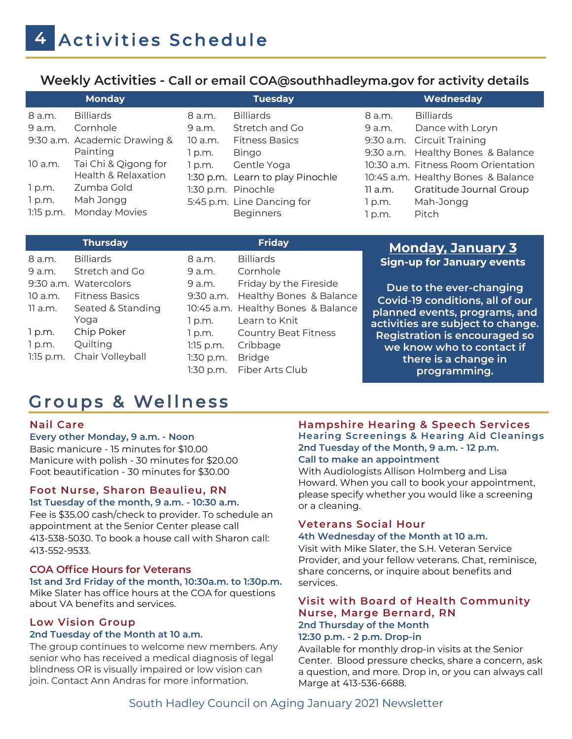# **Weekly Activities - Call or email COA@southhadleyma.gov for activity details**

|             | <b>Monday</b>                |         | <b>Tuesday</b>                   |         | Wednesday                           |
|-------------|------------------------------|---------|----------------------------------|---------|-------------------------------------|
| 8 a.m.      | <b>Billiards</b>             | 8 a.m.  | <b>Billiards</b>                 | 8 a.m.  | <b>Billiards</b>                    |
| 9 a.m.      | Cornhole                     | 9 a.m.  | Stretch and Go                   | 9 a.m.  | Dance with Loryn                    |
|             | 9:30 a.m. Academic Drawing & | 10 a.m. | <b>Fitness Basics</b>            |         | 9:30 a.m. Circuit Training          |
|             | Painting                     | l p.m.  | <b>Bingo</b>                     |         | 9:30 a.m. Healthy Bones & Balance   |
| 10 a.m.     | Tai Chi & Qigong for         | 1 p.m.  | Gentle Yoga                      |         | 10:30 a.m. Fitness Room Orientation |
|             | Health & Relaxation          |         | 1:30 p.m. Learn to play Pinochle |         | 10:45 a.m. Healthy Bones & Balance  |
| 1 p.m.      | Zumba Gold                   |         | 1:30 p.m. Pinochle               | 11 a.m. | Gratitude Journal Group             |
| 1 p.m.      | Mah Jongg                    |         | 5:45 p.m. Line Dancing for       | p.m.    | Mah-Jongg                           |
| $1:15$ p.m. | Monday Movies                |         | <b>Beginners</b>                 | p.m.    | Pitch                               |

| <b>Monday, January 3</b>             | <b>Friday</b>                      |             | <b>Thursday</b>       |             |
|--------------------------------------|------------------------------------|-------------|-----------------------|-------------|
| <b>Sign-up for January events</b>    | <b>Billiards</b>                   | 8 a.m.      | <b>Billiards</b>      | 8 a.m.      |
|                                      | Cornhole                           | 9 a.m.      | Stretch and Go        | 9 a.m.      |
| Due to the ever-changing             | Friday by the Fireside             | 9 a.m.      | 9:30 a.m. Watercolors |             |
| Covid-19 conditions, all of our      | Healthy Bones & Balance            | $9:30$ a.m. | <b>Fitness Basics</b> | 10 a.m.     |
| planned events, programs, and        | 10:45 a.m. Healthy Bones & Balance |             | Seated & Standing     | 11 a.m.     |
| activities are subject to change.    | Learn to Knit                      | 1 p.m.      | Yoga                  |             |
| <b>Registration is encouraged so</b> | <b>Country Beat Fitness</b>        | 1 p.m.      | Chip Poker            | 1 p.m.      |
| we know who to contact if            | Cribbage                           | $1:15$ p.m. | Quilting              | 1 p.m.      |
| there is a change in                 | <b>Bridge</b>                      | 1:30 p.m.   | Chair Volleyball      | $1:15$ p.m. |
| programming.                         | Fiber Arts Club                    | 1:30 p.m.   |                       |             |

# Groups & Wellness

#### **Nail Care**

#### **Every other Monday, 9 a.m. - Noon**

Basic manicure - 15 minutes for \$10.00 Manicure with polish - 30 minutes for \$20.00 Foot beautification - 30 minutes for \$30.00

#### **Foot Nurse, Sharon Beaulieu, RN 1st Tuesday of the month, 9 a.m. - 10:30 a.m.**

Fee is \$35.00 cash/check to provider. To schedule an appointment at the Senior Center please call 413-538-5030. To book a house call with Sharon call: 413-552-9533.

#### **COA Office Hours for Veterans**

#### **1st and 3rd Friday of the month, 10:30a.m. to 1:30p.m.**

Mike Slater has office hours at the COA for questions about VA benefits and services.

#### **Low Vision Group 2nd Tuesday of the Month at 10 a.m.**

The group continues to welcome new members. Any senior who has received a medical diagnosis of legal blindness OR is visually impaired or low vision can join. Contact Ann Andras for more information.

#### **Hampshire Hearing & Speech Services Hearing Screenings & Hearing Aid Cleanings 2nd Tuesday of the Month, 9 a.m. - 12 p.m. Call to make an appointment**

With Audiologists Allison Holmberg and Lisa Howard. When you call to book your appointment, please specify whether you would like a screening or a cleaning.

# **Veterans Social Hour**

#### **4th Wednesday of the Month at 10 a.m.**

Visit with Mike Slater, the S.H. Veteran Service Provider, and your fellow veterans. Chat, reminisce, share concerns, or inquire about benefits and services.

#### **Visit with Board of Health Community Nurse, Marge Bernard, RN 2nd Thursday of the Month**

#### **12:30 p.m. - 2 p.m. Drop-in**

Available for monthly drop-in visits at the Senior Center. Blood pressure checks, share a concern, ask a question, and more. Drop in, or you can always call Marge at 413-536-6688.

# South Hadley Council on Aging January 2021 Newsletter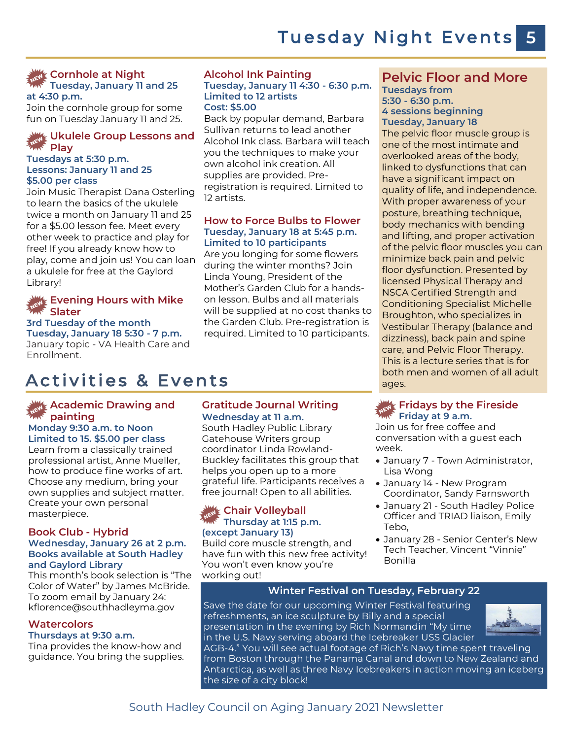### **Cornhole at Night Tuesday, January 11 and 25**

**at 4:30 p.m.** 

Join the cornhole group for some fun on Tuesday January 11 and 25.

#### **Ukulele Group Lessons and Play**

#### **Tuesdays at 5:30 p.m. Lessons: January 11 and 25 \$5.00 per class**

Join Music Therapist Dana Osterling to learn the basics of the ukulele twice a month on January 11 and 25 for a \$5.00 lesson fee. Meet every other week to practice and play for free! If you already know how to play, come and join us! You can loan a ukulele for free at the Gaylord Library!

#### **Evening Hours with Mike Slater**

#### **3rd Tuesday of the month**

**Tuesday, January 18 5:30 - 7 p.m.** January topic - VA Health Care and Enrollment.

#### **Alcohol Ink Painting Tuesday, January 11 4:30 - 6:30 p.m. Limited to 12 artists Cost: \$5.00**

Back by popular demand, Barbara Sullivan returns to lead another Alcohol Ink class. Barbara will teach you the techniques to make your own alcohol ink creation. All supplies are provided. Preregistration is required. Limited to 12 artists.

#### **How to Force Bulbs to Flower Tuesday, January 18 at 5:45 p.m. Limited to 10 participants**

Are you longing for some flowers during the winter months? Join Linda Young, President of the Mother's Garden Club for a handson lesson. Bulbs and all materials will be supplied at no cost thanks to the Garden Club. Pre-registration is required. Limited to 10 participants.

# Activities & Events

#### **Academic Drawing and painting**

#### **Monday 9:30 a.m. to Noon Limited to 15. \$5.00 per class**

Learn from a classically trained professional artist, Anne Mueller, how to produce fine works of art. Choose any medium, bring your own supplies and subject matter. Create your own personal masterpiece.

#### **Book Club - Hybrid Wednesday, January 26 at 2 p.m. Books available at South Hadley and Gaylord Library**

This month's book selection is "The Color of Water" by James McBride. To zoom email by January 24: kflorence@southhadleyma.gov

#### **Watercolors**

#### **Thursdays at 9:30 a.m.**

Tina provides the know-how and guidance. You bring the supplies.

#### **Gratitude Journal Writing Wednesday at 11 a.m.**

South Hadley Public Library Gatehouse Writers group coordinator Linda Rowland-Buckley facilitates this group that helps you open up to a more grateful life. Participants receives a free journal! Open to all abilities.

#### **Chair Volleyball Thursday at 1:15 p.m. (except January 13)**

Build core muscle strength, and have fun with this new free activity! You won't even know you're working out!

#### **Pelvic Floor and More Tuesdays from 5:30 - 6:30 p.m. 4 sessions beginning**

**Tuesday, January 18**

The pelvic floor muscle group is one of the most intimate and overlooked areas of the body, linked to dysfunctions that can have a significant impact on quality of life, and independence. With proper awareness of your posture, breathing technique, body mechanics with bending and lifting, and proper activation of the pelvic floor muscles you can minimize back pain and pelvic floor dysfunction. Presented by licensed Physical Therapy and NSCA Certified Strength and Conditioning Specialist Michelle Broughton, who specializes in Vestibular Therapy (balance and dizziness), back pain and spine care, and Pelvic Floor Therapy. This is a lecture series that is for both men and women of all adult ages.

#### **Fridays by the Fireside Friday at 9 a.m.**

Join us for free coffee and conversation with a guest each week.

- January 7 Town Administrator, Lisa Wong
- January 14 New Program Coordinator, Sandy Farnsworth
- January 21 South Hadley Police Officer and TRIAD liaison, Emily Tebo,
- January 28 Senior Center's New Tech Teacher, Vincent "Vinnie" Bonilla

#### **Winter Festival on Tuesday, February 22**

Save the date for our upcoming Winter Festival featuring refreshments, an ice sculpture by Billy and a special presentation in the evening by Rich Normandin "My time in the U.S. Navy serving aboard the Icebreaker USS Glacier



AGB-4." You will see actual footage of Rich's Navy time spent traveling from Boston through the Panama Canal and down to New Zealand and Antarctica, as well as three Navy Icebreakers in action moving an iceberg the size of a city block!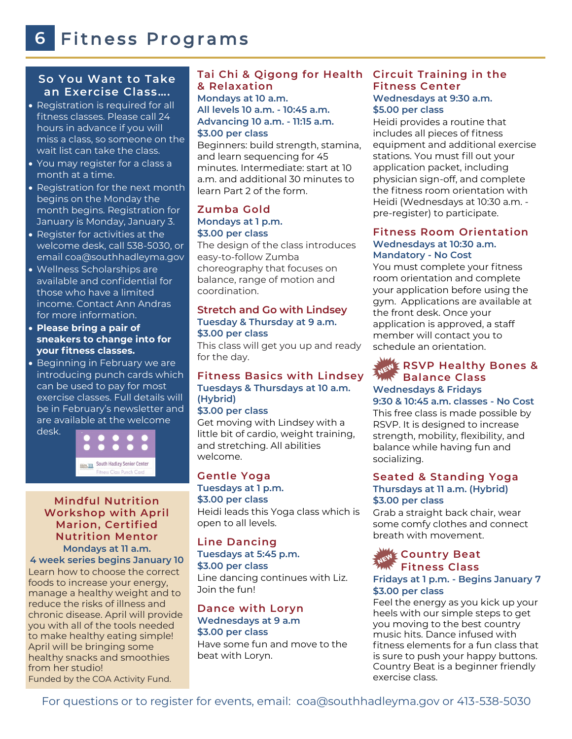#### **So You Want to Take an Exercise Class….**

- Registration is required for all fitness classes. Please call 24 hours in advance if you will miss a class, so someone on the wait list can take the class.
- You may register for a class a month at a time.
- Registration for the next month begins on the Monday the month begins. Registration for January is Monday, January 3.
- Register for activities at the welcome desk, call 538-5030, or email coa@southhadleyma.gov
- Wellness Scholarships are available and confidential for those who have a limited income. Contact Ann Andras for more information.
- **Please bring a pair of sneakers to change into for your fitness classes.**
- Beginning in February we are introducing punch cards which can be used to pay for most exercise classes. Full details will be in February's newsletter and are available at the welcome desk.



#### **Mindful Nutrition Workshop with April Marion, Certified Nutrition Mentor Mondays at 11 a.m.**

**4 week series begins January 10**

Learn how to choose the correct foods to increase your energy, manage a healthy weight and to reduce the risks of illness and chronic disease. April will provide you with all of the tools needed to make healthy eating simple! April will be bringing some healthy snacks and smoothies from her studio! Funded by the COA Activity Fund.

#### **Tai Chi & Qigong for Health Circuit Training in the & Relaxation**

**Mondays at 10 a.m. All levels 10 a.m. - 10:45 a.m. Advancing 10 a.m. - 11:15 a.m. \$3.00 per class** 

Beginners: build strength, stamina, and learn sequencing for 45 minutes. Intermediate: start at 10 a.m. and additional 30 minutes to learn Part 2 of the form.

#### **Zumba Gold Mondays at 1 p.m. \$3.00 per class**

The design of the class introduces easy-to-follow Zumba choreography that focuses on balance, range of motion and coordination.

#### **Stretch and Go with Lindsey Tuesday & Thursday at 9 a.m. \$3.00 per class**

This class will get you up and ready for the day.

#### **Fitness Basics with Lindsey Tuesdays & Thursdays at 10 a.m. (Hybrid) \$3.00 per class**

Get moving with Lindsey with a little bit of cardio, weight training, and stretching. All abilities welcome.

**Gentle Yoga Tuesdays at 1 p.m. \$3.00 per class**  Heidi leads this Yoga class which is open to all levels.

#### **Line Dancing Tuesdays at 5:45 p.m. \$3.00 per class**  Line dancing continues with Liz. Join the fun!

**Dance with Loryn Wednesdays at 9 a.m \$3.00 per class** 

Have some fun and move to the beat with Loryn.

# **Fitness Center Wednesdays at 9:30 a.m. \$5.00 per class**

Heidi provides a routine that includes all pieces of fitness equipment and additional exercise stations. You must fill out your application packet, including physician sign-off, and complete the fitness room orientation with Heidi (Wednesdays at 10:30 a.m. pre-register) to participate.

#### **Fitness Room Orientation Wednesdays at 10:30 a.m. Mandatory - No Cost**

You must complete your fitness room orientation and complete your application before using the gym. Applications are available at the front desk. Once your application is approved, a staff member will contact you to schedule an orientation.

#### **RSVP Healthy Bones & MMC** Balance Class **Wednesdays & Fridays 9:30 & 10:45 a.m. classes - No Cost**

This free class is made possible by RSVP. It is designed to increase strength, mobility, flexibility, and balance while having fun and socializing.

#### **Seated & Standing Yoga Thursdays at 11 a.m. (Hybrid) \$3.00 per class**

Grab a straight back chair, wear some comfy clothes and connect breath with movement.

#### **REWE Country Beat Fitness Class**

#### **Fridays at 1 p.m. - Begins January 7 \$3.00 per class**

Feel the energy as you kick up your heels with our simple steps to get you moving to the best country music hits. Dance infused with fitness elements for a fun class that is sure to push your happy buttons. Country Beat is a beginner friendly exercise class.

For questions or to register for events, email: coa@southhadleyma.gov or 413-538-5030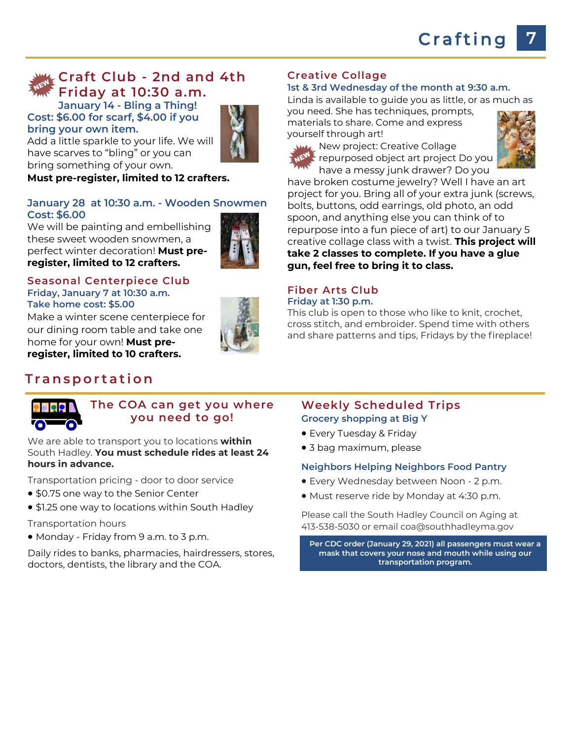# **Craft Club - 2nd and 4th Friday at 10:30 a.m.**

**January 14 - Bling a Thing! Cost: \$6.00 for scarf, \$4.00 if you bring your own item.**



Add a little sparkle to your life. We will have scarves to "bling" or you can bring something of your own.

**Must pre-register, limited to 12 crafters.**

#### **January 28 at 10:30 a.m. - Wooden Snowmen Cost: \$6.00**

We will be painting and embellishing these sweet wooden snowmen, a perfect winter decoration! **Must preregister, limited to 12 crafters.** 



#### **Seasonal Centerpiece Club Friday, January 7 at 10:30 a.m. Take home cost: \$5.00**

Make a winter scene centerpiece for our dining room table and take one home for your own! **Must preregister, limited to 10 crafters.**

# **T r a n s p o r t a t i o n**

#### **Creative Collage**

#### **1st & 3rd Wednesday of the month at 9:30 a.m.**

Linda is available to guide you as little, or as much as

you need. She has techniques, prompts, materials to share. Come and express yourself through art!



**ML** New project: Creative Collage  $t$  repurposed object art project Do you have a messy junk drawer? Do you



have broken costume jewelry? Well I have an art project for you. Bring all of your extra junk (screws, bolts, buttons, odd earrings, old photo, an odd spoon, and anything else you can think of to repurpose into a fun piece of art) to our January 5 creative collage class with a twist. **This project will take 2 classes to complete. If you have a glue gun, feel free to bring it to class.**

# **Fiber Arts Club**

**Friday at 1:30 p.m.**

This club is open to those who like to knit, crochet, cross stitch, and embroider. Spend time with others and share patterns and tips, Fridays by the fireplace!



#### **The COA can get you where you need to go!**

We are able to transport you to locations **within**  South Hadley. **You must schedule rides at least 24 hours in advance.** 

Transportation pricing - door to door service

- \$0.75 one way to the Senior Center
- \$1.25 one way to locations within South Hadley
- Transportation hours
- Monday Friday from 9 a.m. to 3 p.m.

Daily rides to banks, pharmacies, hairdressers, stores, doctors, dentists, the library and the COA.

#### **Weekly Scheduled Trips Grocery shopping at Big Y**

- Every Tuesday & Friday
- 3 bag maximum, please

#### **Neighbors Helping Neighbors Food Pantry**

- Every Wednesday between Noon 2 p.m.
- Must reserve ride by Monday at 4:30 p.m.

Please call the South Hadley Council on Aging at 413-538-5030 or email coa@southhadleyma.gov

**Per CDC order (January 29, 2021) all passengers must wear a mask that covers your nose and mouth while using our transportation program.**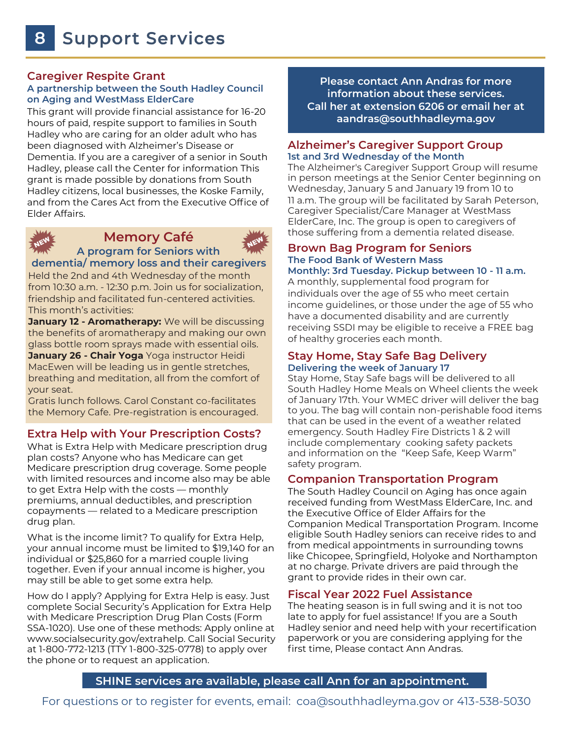#### **Caregiver Respite Grant**

#### **A partnership between the South Hadley Council on Aging and WestMass ElderCare**

This grant will provide financial assistance for 16-20 hours of paid, respite support to families in South Hadley who are caring for an older adult who has been diagnosed with Alzheimer's Disease or Dementia. If you are a caregiver of a senior in South Hadley, please call the Center for information This grant is made possible by donations from South Hadley citizens, local businesses, the Koske Family, and from the Cares Act from the Executive Office of Elder Affairs.



#### **Memory Café**



**A program for Seniors with dementia/ memory loss and their caregivers**

Held the 2nd and 4th Wednesday of the month from 10:30 a.m. - 12:30 p.m. Join us for socialization, friendship and facilitated fun-centered activities. This month's activities:

**January 12 - Aromatherapy:** We will be discussing the benefits of aromatherapy and making our own glass bottle room sprays made with essential oils. **January 26 - Chair Yoga** Yoga instructor Heidi MacEwen will be leading us in gentle stretches, breathing and meditation, all from the comfort of your seat.

Gratis lunch follows. Carol Constant co-facilitates the Memory Cafe. Pre-registration is encouraged.

#### **Extra Help with Your Prescription Costs?**

What is Extra Help with Medicare prescription drug plan costs? Anyone who has Medicare can get Medicare prescription drug coverage. Some people with limited resources and income also may be able to get Extra Help with the costs — monthly premiums, annual deductibles, and prescription copayments — related to a Medicare prescription drug plan.

What is the income limit? To qualify for Extra Help, your annual income must be limited to \$19,140 for an individual or \$25,860 for a married couple living together. Even if your annual income is higher, you may still be able to get some extra help.

How do I apply? Applying for Extra Help is easy. Just complete Social Security's Application for Extra Help with Medicare Prescription Drug Plan Costs (Form SSA-1020). Use one of these methods: Apply online at www.socialsecurity.gov/extrahelp. Call Social Security at 1-800-772-1213 (TTY 1-800-325-0778) to apply over the phone or to request an application.

**Please contact Ann Andras for more information about these services. Call her at extension 6206 or email her at aandras@southhadleyma.gov**

#### **Alzheimer's Caregiver Support Group 1st and 3rd Wednesday of the Month**

The Alzheimer's Caregiver Support Group will resume in person meetings at the Senior Center beginning on Wednesday, January 5 and January 19 from 10 to 11 a.m. The group will be facilitated by Sarah Peterson, Caregiver Specialist/Care Manager at WestMass ElderCare, Inc. The group is open to caregivers of those suffering from a dementia related disease.

#### **Brown Bag Program for Seniors The Food Bank of Western Mass Monthly: 3rd Tuesday. Pickup between 10 - 11 a.m.**

A monthly, supplemental food program for individuals over the age of 55 who meet certain income guidelines, or those under the age of 55 who have a documented disability and are currently receiving SSDI may be eligible to receive a FREE bag of healthy groceries each month.

#### **Stay Home, Stay Safe Bag Delivery Delivering the week of January 17**

Stay Home, Stay Safe bags will be delivered to all South Hadley Home Meals on Wheel clients the week of January 17th. Your WMEC driver will deliver the bag to you. The bag will contain non-perishable food items that can be used in the event of a weather related emergency. South Hadley Fire Districts 1 & 2 will include complementary cooking safety packets and information on the "Keep Safe, Keep Warm" safety program.

#### **Companion Transportation Program**

The South Hadley Council on Aging has once again received funding from WestMass ElderCare, Inc. and the Executive Office of Elder Affairs for the Companion Medical Transportation Program. Income eligible South Hadley seniors can receive rides to and from medical appointments in surrounding towns like Chicopee, Springfield, Holyoke and Northampton at no charge. Private drivers are paid through the grant to provide rides in their own car.

#### **Fiscal Year 2022 Fuel Assistance**

The heating season is in full swing and it is not too late to apply for fuel assistance! If you are a South Hadley senior and need help with your recertification paperwork or you are considering applying for the first time, Please contact Ann Andras.

#### **SHINE services are available, please call Ann for an appointment.**

For questions or to register for events, email: coa@southhadleyma.gov or 413-538-5030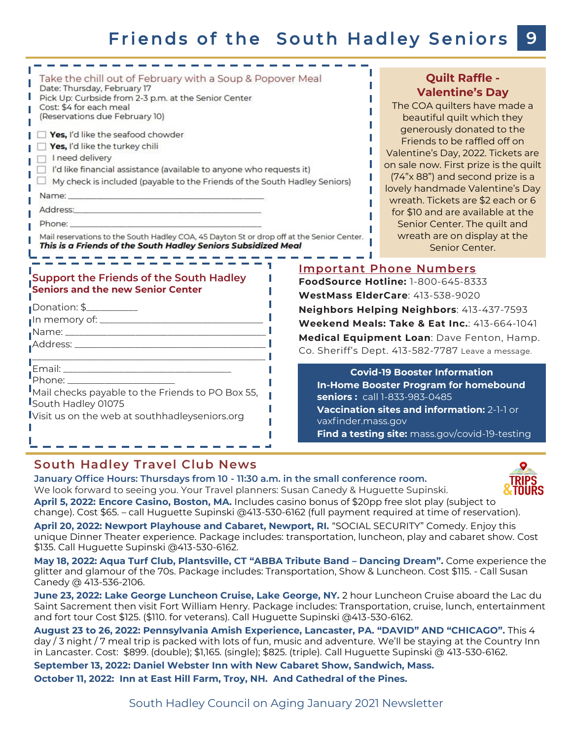# Friends of the South Hadley Seniors

| Take the chill out of February with a Soup & Popover Meal                                                                                                                                                                                                                                                                                                | <b>Quilt Raffle -</b>                             |                                                                                                                                                                    |
|----------------------------------------------------------------------------------------------------------------------------------------------------------------------------------------------------------------------------------------------------------------------------------------------------------------------------------------------------------|---------------------------------------------------|--------------------------------------------------------------------------------------------------------------------------------------------------------------------|
| Date: Thursday, February 17                                                                                                                                                                                                                                                                                                                              | <b>Valentine's Day</b>                            |                                                                                                                                                                    |
| Pick Up: Curbside from 2-3 p.m. at the Senior Center                                                                                                                                                                                                                                                                                                     | The COA quilters have made a                      |                                                                                                                                                                    |
| Cost: \$4 for each meal                                                                                                                                                                                                                                                                                                                                  | beautiful quilt which they                        |                                                                                                                                                                    |
| (Reservations due February 10)                                                                                                                                                                                                                                                                                                                           | generously donated to the                         |                                                                                                                                                                    |
| Yes, I'd like the seafood chowder                                                                                                                                                                                                                                                                                                                        | Friends to be raffled off on                      |                                                                                                                                                                    |
| Yes, I'd like the turkey chili                                                                                                                                                                                                                                                                                                                           | Valentine's Day, 2022. Tickets are                |                                                                                                                                                                    |
| I need delivery                                                                                                                                                                                                                                                                                                                                          | on sale now. First prize is the quilt             |                                                                                                                                                                    |
| I'd like financial assistance (available to anyone who requests it)                                                                                                                                                                                                                                                                                      | (74"x 88") and second prize is a                  |                                                                                                                                                                    |
| My check is included (payable to the Friends of the South Hadley Seniors)                                                                                                                                                                                                                                                                                | lovely handmade Valentine's Day                   |                                                                                                                                                                    |
|                                                                                                                                                                                                                                                                                                                                                          | wreath. Tickets are \$2 each or 6                 |                                                                                                                                                                    |
|                                                                                                                                                                                                                                                                                                                                                          | for \$10 and are available at the                 |                                                                                                                                                                    |
| Phone: The contract of the contract of the contract of the contract of the contract of the contract of the contract of the contract of the contract of the contract of the contract of the contract of the contract of the con                                                                                                                           | Senior Center. The quilt and                      |                                                                                                                                                                    |
| Mail reservations to the South Hadley COA, 45 Dayton St or drop off at the Senior Center.                                                                                                                                                                                                                                                                | wreath are on display at the                      |                                                                                                                                                                    |
| This is a Friends of the South Hadley Seniors Subsidized Meal                                                                                                                                                                                                                                                                                            | Senior Center.                                    |                                                                                                                                                                    |
| Support the Friends of the South Hadley                                                                                                                                                                                                                                                                                                                  | <b>Important Phone Numbers</b>                    |                                                                                                                                                                    |
| <b>Seniors and the new Senior Center</b>                                                                                                                                                                                                                                                                                                                 | FoodSource Hotline: 1-800-645-8333                |                                                                                                                                                                    |
| Donation: \$___________                                                                                                                                                                                                                                                                                                                                  | WestMass ElderCare: 413-538-9020                  |                                                                                                                                                                    |
|                                                                                                                                                                                                                                                                                                                                                          | Neighbors Helping Neighbors: 413-437-7593         |                                                                                                                                                                    |
|                                                                                                                                                                                                                                                                                                                                                          | Weekend Meals: Take & Eat Inc.: 413-664-1041      |                                                                                                                                                                    |
|                                                                                                                                                                                                                                                                                                                                                          | Medical Equipment Loan: Dave Fenton, Hamp.        |                                                                                                                                                                    |
|                                                                                                                                                                                                                                                                                                                                                          | Co. Sheriff's Dept. 413-582-7787 Leave a message. |                                                                                                                                                                    |
| Phone: ________________________<br>Mail checks payable to the Friends to PO Box 55,<br><b>South Hadley 01075</b><br><b>I</b> s a construction of the construction of the construction of the construction of the construction of the construction of the construction of the construction of the construction of the construction of the construction of |                                                   | <b>Covid-19 Booster Information</b><br><b>In-Home Booster Program for homebound</b><br>seniors: call 1-833-983-0485<br>Vaccination sites and information: 2-1-1 or |



# **South Hadley Travel Club News**

**January Office Hours: Thursdays from 10 - 11:30 a.m. in the small conference room.**  We look forward to seeing you. Your Travel planners: Susan Canedy & Huguette Supinski. **April 5, 2022: Encore Casino, Boston, MA.** Includes casino bonus of \$20pp free slot play (subject to change). Cost \$65. – call Huguette Supinski @413-530-6162 (full payment required at time of reservation).

**April 20, 2022: Newport Playhouse and Cabaret, Newport, RI.** "SOCIAL SECURITY" Comedy. Enjoy this unique Dinner Theater experience. Package includes: transportation, luncheon, play and cabaret show. Cost \$135. Call Huguette Supinski @413-530-6162.

vaxfinder.mass.gov

**May 18, 2022: Aqua Turf Club, Plantsville, CT "ABBA Tribute Band – Dancing Dream".** Come experience the glitter and glamour of the 70s. Package includes: Transportation, Show & Luncheon. Cost \$115. - Call Susan Canedy @ 413-536-2106.

**June 23, 2022: Lake George Luncheon Cruise, Lake George, NY.** 2 hour Luncheon Cruise aboard the Lac du Saint Sacrement then visit Fort William Henry. Package includes: Transportation, cruise, lunch, entertainment and fort tour Cost \$125. (\$110. for veterans). Call Huguette Supinski @413-530-6162.

**August 23 to 26, 2022: Pennsylvania Amish Experience, Lancaster, PA. "DAVID" AND "CHICAGO".** This 4 day / 3 night / 7 meal trip is packed with lots of fun, music and adventure. We'll be staying at the Country Inn in Lancaster. Cost: \$899. (double); \$1,165. (single); \$825. (triple). Call Huguette Supinski @ 413-530-6162.

**September 13, 2022: Daniel Webster Inn with New Cabaret Show, Sandwich, Mass. October 11, 2022: Inn at East Hill Farm, Troy, NH. And Cathedral of the Pines.**



# **Find a testing site:** mass.gov/covid-19-testing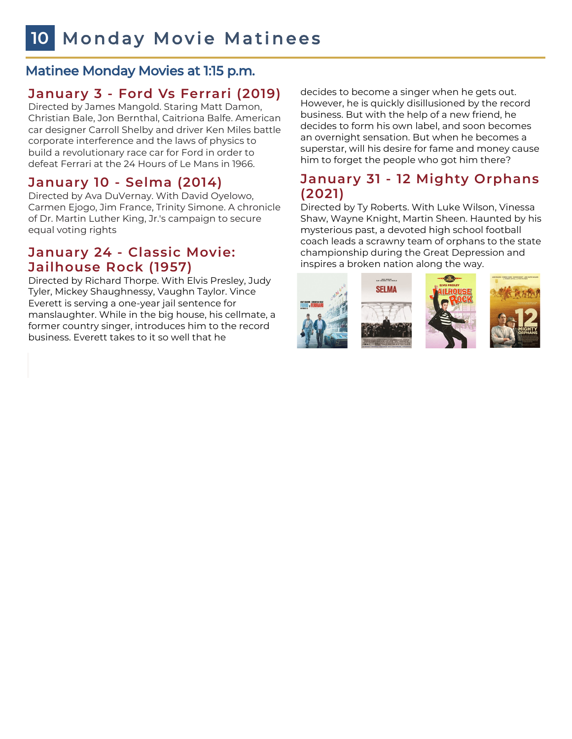# Matinee Monday Movies at 1:15 p.m.

# **January 3 - Ford Vs Ferrari (2019)**

Directed by James Mangold. Staring Matt Damon, Christian Bale, Jon Bernthal, Caitriona Balfe. American car designer Carroll Shelby and driver Ken Miles battle corporate interference and the laws of physics to build a revolutionary race car for Ford in order to defeat Ferrari at the 24 Hours of Le Mans in 1966.

# **January 10 - Selma (2014)**

Directed by Ava DuVernay. With David Oyelowo, Carmen Ejogo, Jim France, Trinity Simone. A chronicle of Dr. Martin Luther King, Jr.'s campaign to secure equal voting rights

# **January 24 - Classic Movie: Jailhouse Rock (1957)**

Directed by Richard Thorpe. With Elvis Presley, Judy Tyler, Mickey Shaughnessy, Vaughn Taylor. Vince Everett is serving a one-year jail sentence for manslaughter. While in the big house, his cellmate, a former country singer, introduces him to the record business. Everett takes to it so well that he

decides to become a singer when he gets out. However, he is quickly disillusioned by the record business. But with the help of a new friend, he decides to form his own label, and soon becomes an overnight sensation. But when he becomes a superstar, will his desire for fame and money cause him to forget the people who got him there?

# **January 31 - 12 Mighty Orphans (2021)**

Directed by Ty Roberts. With Luke Wilson, Vinessa Shaw, Wayne Knight, Martin Sheen. Haunted by his mysterious past, a devoted high school football coach leads a scrawny team of orphans to the state championship during the Great Depression and inspires a broken nation along the way.





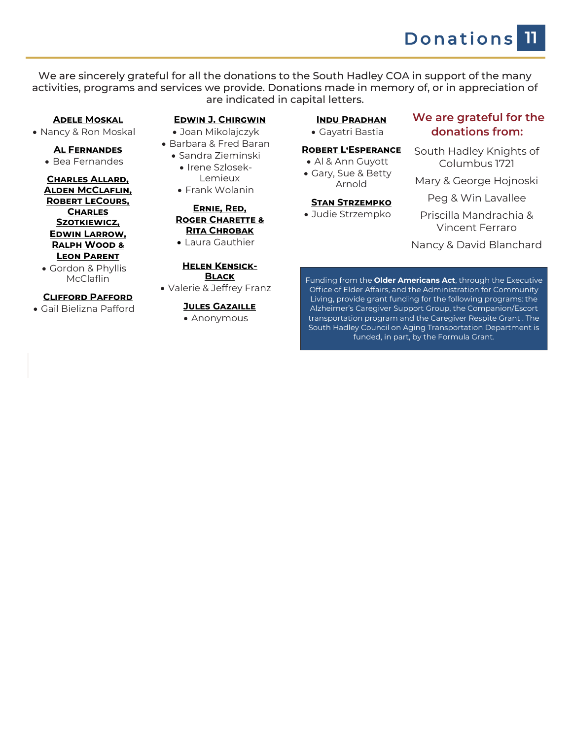Donations **11**

We are sincerely grateful for all the donations to the South Hadley COA in support of the many activities, programs and services we provide. Donations made in memory of, or in appreciation of are indicated in capital letters.

#### **Adele Moskal**

• Nancy & Ron Moskal

#### **Al Fernandes**

• Bea Fernandes

#### **Charles Allard, Alden McClaflin, Robert LeCours, Charles Szotkiewicz, Edwin Larrow, Ralph Wood & Leon Parent**

• Gordon & Phyllis McClaflin

#### **Clifford Pafford**

• Gail Bielizna Pafford

#### **Edwin J. Chirgwin**

- Joan Mikolajczyk
- Barbara & Fred Baran
	- Sandra Zieminski • Irene Szlosek-Lemieux
		- Frank Wolanin

#### **Ernie, Red, Roger Charette & Rita Chrobak**

• Laura Gauthier

#### **Helen Kensick-Black**

• Valerie & Jeffrey Franz

#### **Jules Gazaille**

• Anonymous

#### **Indu Pradhan** • Gayatri Bastia

**Robert L'Esperance** • Al & Ann Guyott • Gary, Sue & Betty Arnold **Stan Strzempko** • Judie Strzempko

#### **We are grateful for the donations from:**

- South Hadley Knights of Columbus 1721
- Mary & George Hojnoski
	- Peg & Win Lavallee
	- Priscilla Mandrachia & Vincent Ferraro

Nancy & David Blanchard

Funding from the **Older Americans Act**, through the Executive Office of Elder Affairs, and the Administration for Community Living, provide grant funding for the following programs: the Alzheimer's Caregiver Support Group, the Companion/Escort transportation program and the Caregiver Respite Grant . The South Hadley Council on Aging Transportation Department is funded, in part, by the Formula Grant.